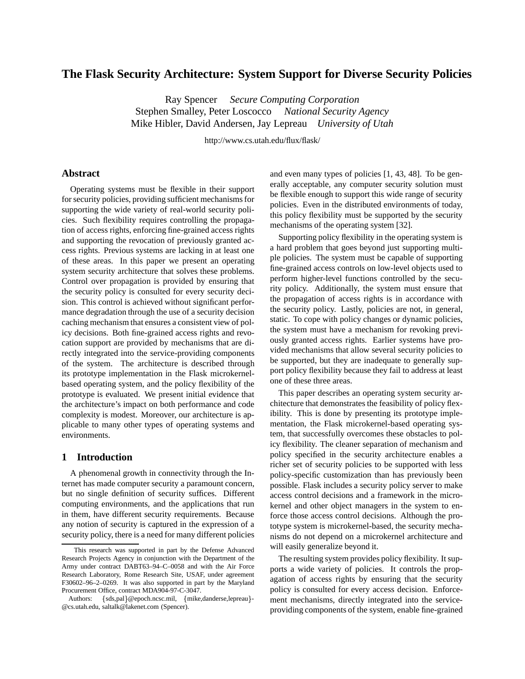# **The Flask Security Architecture: System Support for Diverse Security Policies**

Ray Spencer *Secure Computing Corporation* Stephen Smalley, Peter Loscocco *National Security Agency* Mike Hibler, David Andersen, Jay Lepreau *University of Utah*

http://www.cs.utah.edu/flux/flask/

### **Abstract**

Operating systems must be flexible in their support for security policies, providing sufficient mechanisms for supporting the wide variety of real-world security policies. Such flexibility requires controlling the propagation of access rights, enforcing fine-grained access rights and supporting the revocation of previously granted access rights. Previous systems are lacking in at least one of these areas. In this paper we present an operating system security architecture that solves these problems. Control over propagation is provided by ensuring that the security policy is consulted for every security decision. This control is achieved without significant performance degradation through the use of a security decision caching mechanism that ensures a consistent view of policy decisions. Both fine-grained access rights and revocation support are provided by mechanisms that are directly integrated into the service-providing components of the system. The architecture is described through its prototype implementation in the Flask microkernelbased operating system, and the policy flexibility of the prototype is evaluated. We present initial evidence that the architecture's impact on both performance and code complexity is modest. Moreover, our architecture is applicable to many other types of operating systems and environments.

# **1 Introduction**

A phenomenal growth in connectivity through the Internet has made computer security a paramount concern, but no single definition of security suffices. Different computing environments, and the applications that run in them, have different security requirements. Because any notion of security is captured in the expression of a security policy, there is a need for many different policies and even many types of policies [1, 43, 48]. To be generally acceptable, any computer security solution must be flexible enough to support this wide range of security policies. Even in the distributed environments of today, this policy flexibility must be supported by the security mechanisms of the operating system [32].

Supporting policy flexibility in the operating system is a hard problem that goes beyond just supporting multiple policies. The system must be capable of supporting fine-grained access controls on low-level objects used to perform higher-level functions controlled by the security policy. Additionally, the system must ensure that the propagation of access rights is in accordance with the security policy. Lastly, policies are not, in general, static. To cope with policy changes or dynamic policies, the system must have a mechanism for revoking previously granted access rights. Earlier systems have provided mechanisms that allow several security policies to be supported, but they are inadequate to generally support policy flexibility because they fail to address at least one of these three areas.

This paper describes an operating system security architecture that demonstrates the feasibility of policy flexibility. This is done by presenting its prototype implementation, the Flask microkernel-based operating system, that successfully overcomes these obstacles to policy flexibility. The cleaner separation of mechanism and policy specified in the security architecture enables a richer set of security policies to be supported with less policy-specific customization than has previously been possible. Flask includes a security policy server to make access control decisions and a framework in the microkernel and other object managers in the system to enforce those access control decisions. Although the prototype system is microkernel-based, the security mechanisms do not depend on a microkernel architecture and will easily generalize beyond it.

The resulting system provides policy flexibility. It supports a wide variety of policies. It controls the propagation of access rights by ensuring that the security policy is consulted for every access decision. Enforcement mechanisms, directly integrated into the serviceproviding components of the system, enable fine-grained

This research was supported in part by the Defense Advanced Research Projects Agency in conjunction with the Department of the Army under contract DABT63–94–C–0058 and with the Air Force Research Laboratory, Rome Research Site, USAF, under agreement F30602–96–2–0269. It was also supported in part by the Maryland Procurement Office, contract MDA904-97-C-3047.

Authors: {sds,pal}@epoch.ncsc.mil, {mike,danderse,lepreau}- m @cs.utah.edu, saltalk@lakenet.com (Spencer).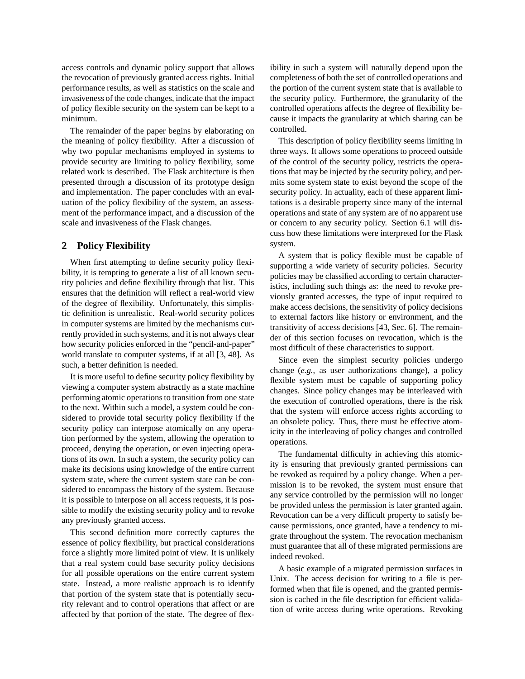access controls and dynamic policy support that allows the revocation of previously granted access rights. Initial performance results, as well as statistics on the scale and invasiveness of the code changes, indicate that the impact of policy flexible security on the system can be kept to a minimum.

The remainder of the paper begins by elaborating on the meaning of policy flexibility. After a discussion of why two popular mechanisms employed in systems to provide security are limiting to policy flexibility, some related work is described. The Flask architecture is then presented through a discussion of its prototype design and implementation. The paper concludes with an evaluation of the policy flexibility of the system, an assessment of the performance impact, and a discussion of the scale and invasiveness of the Flask changes.

### **2 Policy Flexibility**

When first attempting to define security policy flexibility, it is tempting to generate a list of all known security policies and define flexibility through that list. This ensures that the definition will reflect a real-world view of the degree of flexibility. Unfortunately, this simplistic definition is unrealistic. Real-world security polices in computer systems are limited by the mechanisms currently provided in such systems, and it is not always clear how security policies enforced in the "pencil-and-paper" world translate to computer systems, if at all [3, 48]. As such, a better definition is needed.

It is more useful to define security policy flexibility by viewing a computer system abstractly as a state machine performing atomic operationsto transition from one state to the next. Within such a model, a system could be considered to provide total security policy flexibility if the security policy can interpose atomically on any operation performed by the system, allowing the operation to proceed, denying the operation, or even injecting operations of its own. In such a system, the security policy can make its decisions using knowledge of the entire current system state, where the current system state can be considered to encompass the history of the system. Because it is possible to interpose on all access requests, it is possible to modify the existing security policy and to revoke any previously granted access.

This second definition more correctly captures the essence of policy flexibility, but practical considerations force a slightly more limited point of view. It is unlikely that a real system could base security policy decisions for all possible operations on the entire current system state. Instead, a more realistic approach is to identify that portion of the system state that is potentially security relevant and to control operations that affect or are affected by that portion of the state. The degree of flexibility in such a system will naturally depend upon the completeness of both the set of controlled operations and the portion of the current system state that is available to the security policy. Furthermore, the granularity of the controlled operations affects the degree of flexibility because it impacts the granularity at which sharing can be controlled.

This description of policy flexibility seems limiting in three ways. It allows some operations to proceed outside of the control of the security policy, restricts the operations that may be injected by the security policy, and permits some system state to exist beyond the scope of the security policy. In actuality, each of these apparent limitations is a desirable property since many of the internal operations and state of any system are of no apparent use or concern to any security policy. Section 6.1 will discuss how these limitations were interpreted for the Flask system.

A system that is policy flexible must be capable of supporting a wide variety of security policies. Security policies may be classified according to certain characteristics, including such things as: the need to revoke previously granted accesses, the type of input required to make access decisions, the sensitivity of policy decisions to external factors like history or environment, and the transitivity of access decisions [43, Sec. 6]. The remainder of this section focuses on revocation, which is the most difficult of these characteristics to support.

Since even the simplest security policies undergo change (*e.g.*, as user authorizations change), a policy flexible system must be capable of supporting policy changes. Since policy changes may be interleaved with the execution of controlled operations, there is the risk that the system will enforce access rights according to an obsolete policy. Thus, there must be effective atomicity in the interleaving of policy changes and controlled operations.

The fundamental difficulty in achieving this atomicity is ensuring that previously granted permissions can be revoked as required by a policy change. When a permission is to be revoked, the system must ensure that any service controlled by the permission will no longer be provided unless the permission is later granted again. Revocation can be a very difficult property to satisfy because permissions, once granted, have a tendency to migrate throughout the system. The revocation mechanism must guarantee that all of these migrated permissions are indeed revoked.

A basic example of a migrated permission surfaces in Unix. The access decision for writing to a file is performed when that file is opened, and the granted permission is cached in the file description for efficient validation of write access during write operations. Revoking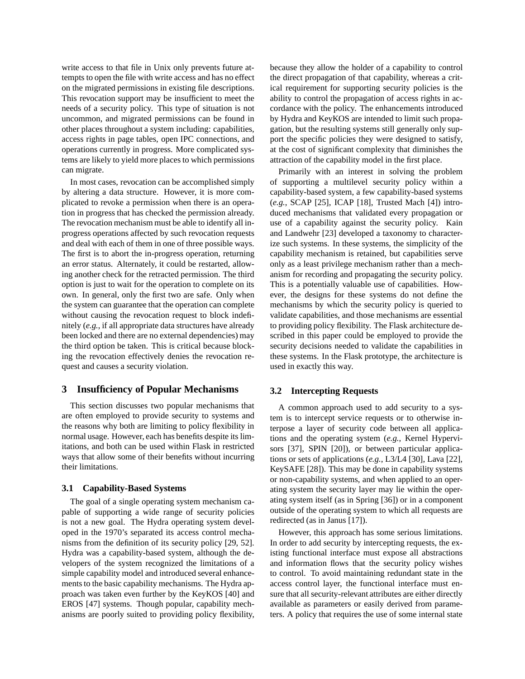write access to that file in Unix only prevents future attempts to open the file with write access and has no effect on the migrated permissions in existing file descriptions. This revocation support may be insufficient to meet the needs of a security policy. This type of situation is not uncommon, and migrated permissions can be found in other places throughout a system including: capabilities, access rights in page tables, open IPC connections, and operations currently in progress. More complicated systems are likely to yield more places to which permissions can migrate.

In most cases, revocation can be accomplished simply by altering a data structure. However, it is more complicated to revoke a permission when there is an operation in progress that has checked the permission already. The revocation mechanism must be able to identify all inprogress operations affected by such revocation requests and deal with each of them in one of three possible ways. The first is to abort the in-progress operation, returning an error status. Alternately, it could be restarted, allowing another check for the retracted permission. The third option is just to wait for the operation to complete on its own. In general, only the first two are safe. Only when the system can guarantee that the operation can complete without causing the revocation request to block indefinitely (*e.g.*, if all appropriate data structures have already been locked and there are no external dependencies) may the third option be taken. This is critical because blocking the revocation effectively denies the revocation request and causes a security violation.

# **3 Insufficiency of Popular Mechanisms**

This section discusses two popular mechanisms that are often employed to provide security to systems and the reasons why both are limiting to policy flexibility in normal usage. However, each has benefits despite its limitations, and both can be used within Flask in restricted ways that allow some of their benefits without incurring their limitations.

#### **3.1 Capability-Based Systems**

The goal of a single operating system mechanism capable of supporting a wide range of security policies is not a new goal. The Hydra operating system developed in the 1970's separated its access control mechanisms from the definition of its security policy [29, 52]. Hydra was a capability-based system, although the developers of the system recognized the limitations of a simple capability model and introduced several enhancements to the basic capability mechanisms. The Hydra approach was taken even further by the KeyKOS [40] and EROS [47] systems. Though popular, capability mechanisms are poorly suited to providing policy flexibility, because they allow the holder of a capability to control the direct propagation of that capability, whereas a critical requirement for supporting security policies is the ability to control the propagation of access rights in accordance with the policy. The enhancements introduced by Hydra and KeyKOS are intended to limit such propagation, but the resulting systems still generally only support the specific policies they were designed to satisfy, at the cost of significant complexity that diminishes the attraction of the capability model in the first place.

Primarily with an interest in solving the problem of supporting a multilevel security policy within a capability-based system, a few capability-based systems (*e.g.*, SCAP [25], ICAP [18], Trusted Mach [4]) introduced mechanisms that validated every propagation or use of a capability against the security policy. Kain and Landwehr [23] developed a taxonomy to characterize such systems. In these systems, the simplicity of the capability mechanism is retained, but capabilities serve only as a least privilege mechanism rather than a mechanism for recording and propagating the security policy. This is a potentially valuable use of capabilities. However, the designs for these systems do not define the mechanisms by which the security policy is queried to validate capabilities, and those mechanisms are essential to providing policy flexibility. The Flask architecture described in this paper could be employed to provide the security decisions needed to validate the capabilities in these systems. In the Flask prototype, the architecture is used in exactly this way.

### **3.2 Intercepting Requests**

A common approach used to add security to a system is to intercept service requests or to otherwise interpose a layer of security code between all applications and the operating system (*e.g.*, Kernel Hypervisors [37], SPIN [20]), or between particular applications or sets of applications (*e.g.*, L3/L4 [30], Lava [22], KeySAFE [28]). This may be done in capability systems or non-capability systems, and when applied to an operating system the security layer may lie within the operating system itself (as in Spring [36]) or in a component outside of the operating system to which all requests are redirected (as in Janus [17]).

However, this approach has some serious limitations. In order to add security by intercepting requests, the existing functional interface must expose all abstractions and information flows that the security policy wishes to control. To avoid maintaining redundant state in the access control layer, the functional interface must ensure that all security-relevant attributes are either directly available as parameters or easily derived from parameters. A policy that requires the use of some internal state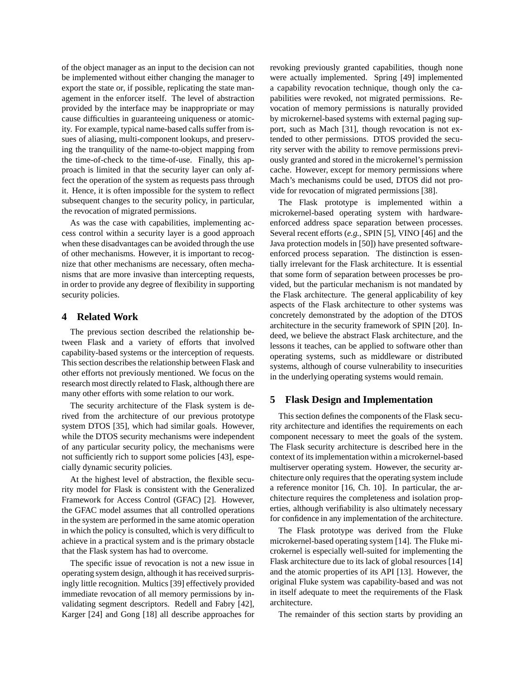of the object manager as an input to the decision can not be implemented without either changing the manager to export the state or, if possible, replicating the state management in the enforcer itself. The level of abstraction provided by the interface may be inappropriate or may cause difficulties in guaranteeing uniqueness or atomicity. For example, typical name-based calls suffer from issues of aliasing, multi-component lookups, and preserving the tranquility of the name-to-object mapping from the time-of-check to the time-of-use. Finally, this approach is limited in that the security layer can only affect the operation of the system as requests pass through it. Hence, it is often impossible for the system to reflect subsequent changes to the security policy, in particular, the revocation of migrated permissions.

As was the case with capabilities, implementing access control within a security layer is a good approach when these disadvantages can be avoided through the use of other mechanisms. However, it is important to recognize that other mechanisms are necessary, often mechanisms that are more invasive than intercepting requests, in order to provide any degree of flexibility in supporting security policies.

### **4 Related Work**

The previous section described the relationship between Flask and a variety of efforts that involved capability-based systems or the interception of requests. This section describes the relationship between Flask and other efforts not previously mentioned. We focus on the research most directly related to Flask, although there are many other efforts with some relation to our work.

The security architecture of the Flask system is derived from the architecture of our previous prototype system DTOS [35], which had similar goals. However, while the DTOS security mechanisms were independent of any particular security policy, the mechanisms were not sufficiently rich to support some policies [43], especially dynamic security policies.

At the highest level of abstraction, the flexible security model for Flask is consistent with the Generalized Framework for Access Control (GFAC) [2]. However, the GFAC model assumes that all controlled operations in the system are performed in the same atomic operation in which the policy is consulted, which is very difficult to achieve in a practical system and is the primary obstacle that the Flask system has had to overcome.

The specific issue of revocation is not a new issue in operating system design, although it has received surprisingly little recognition. Multics [39] effectively provided immediate revocation of all memory permissions by invalidating segment descriptors. Redell and Fabry [42], Karger [24] and Gong [18] all describe approaches for revoking previously granted capabilities, though none were actually implemented. Spring [49] implemented a capability revocation technique, though only the capabilities were revoked, not migrated permissions. Revocation of memory permissions is naturally provided by microkernel-based systems with external paging support, such as Mach [31], though revocation is not extended to other permissions. DTOS provided the security server with the ability to remove permissions previously granted and stored in the microkernel's permission cache. However, except for memory permissions where Mach's mechanisms could be used, DTOS did not provide for revocation of migrated permissions [38].

The Flask prototype is implemented within a microkernel-based operating system with hardwareenforced address space separation between processes. Several recent efforts (*e.g.*, SPIN [5], VINO [46] and the Java protection models in [50]) have presented softwareenforced process separation. The distinction is essentially irrelevant for the Flask architecture. It is essential that some form of separation between processes be provided, but the particular mechanism is not mandated by the Flask architecture. The general applicability of key aspects of the Flask architecture to other systems was concretely demonstrated by the adoption of the DTOS architecture in the security framework of SPIN [20]. Indeed, we believe the abstract Flask architecture, and the lessons it teaches, can be applied to software other than operating systems, such as middleware or distributed systems, although of course vulnerability to insecurities in the underlying operating systems would remain.

# **5 Flask Design and Implementation**

This section defines the components of the Flask security architecture and identifies the requirements on each component necessary to meet the goals of the system. The Flask security architecture is described here in the context of its implementation within a microkernel-based multiserver operating system. However, the security architecture only requires that the operating system include a reference monitor [16, Ch. 10]. In particular, the architecture requires the completeness and isolation properties, although verifiability is also ultimately necessary for confidence in any implementation of the architecture.

The Flask prototype was derived from the Fluke microkernel-based operating system [14]. The Fluke microkernel is especially well-suited for implementing the Flask architecture due to its lack of global resources [14] and the atomic properties of its API [13]. However, the original Fluke system was capability-based and was not in itself adequate to meet the requirements of the Flask architecture.

The remainder of this section starts by providing an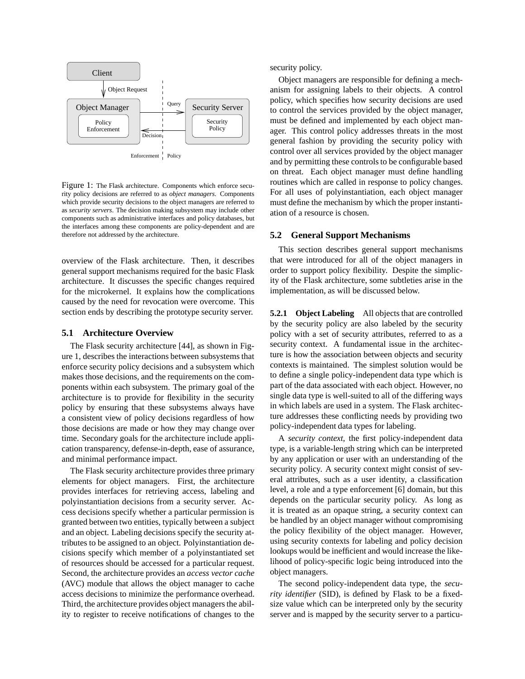

Figure 1: The Flask architecture. Components which enforce security policy decisions are referred to as *object managers*. Components which provide security decisions to the object managers are referred to as *security servers*. The decision making subsystem may include other components such as administrative interfaces and policy databases, but the interfaces among these components are policy-dependent and are therefore not addressed by the architecture.

overview of the Flask architecture. Then, it describes general support mechanisms required for the basic Flask architecture. It discusses the specific changes required for the microkernel. It explains how the complications caused by the need for revocation were overcome. This section ends by describing the prototype security server.

#### **5.1 Architecture Overview**

The Flask security architecture [44], as shown in Figure 1, describes the interactions between subsystems that enforce security policy decisions and a subsystem which makes those decisions, and the requirements on the components within each subsystem. The primary goal of the architecture is to provide for flexibility in the security policy by ensuring that these subsystems always have a consistent view of policy decisions regardless of how those decisions are made or how they may change over time. Secondary goals for the architecture include application transparency, defense-in-depth, ease of assurance, and minimal performance impact.

The Flask security architecture provides three primary elements for object managers. First, the architecture provides interfaces for retrieving access, labeling and polyinstantiation decisions from a security server. Access decisions specify whether a particular permission is granted between two entities, typically between a subject and an object. Labeling decisions specify the security attributes to be assigned to an object. Polyinstantiation decisions specify which member of a polyinstantiated set of resources should be accessed for a particular request. Second, the architecture provides an *access vector cache* (AVC) module that allows the object manager to cache access decisions to minimize the performance overhead. Third, the architecture provides object managers the ability to register to receive notifications of changes to the security policy.

Object managers are responsible for defining a mechanism for assigning labels to their objects. A control policy, which specifies how security decisions are used to control the services provided by the object manager, must be defined and implemented by each object manager. This control policy addresses threats in the most general fashion by providing the security policy with control over all services provided by the object manager and by permitting these controls to be configurable based on threat. Each object manager must define handling routines which are called in response to policy changes. For all uses of polyinstantiation, each object manager must define the mechanism by which the proper instantiation of a resource is chosen.

### **5.2 General Support Mechanisms**

This section describes general support mechanisms that were introduced for all of the object managers in order to support policy flexibility. Despite the simplicity of the Flask architecture, some subtleties arise in the implementation, as will be discussed below.

**5.2.1 Object Labeling** All objects that are controlled by the security policy are also labeled by the security policy with a set of security attributes, referred to as a security context. A fundamental issue in the architecture is how the association between objects and security contexts is maintained. The simplest solution would be to define a single policy-independent data type which is part of the data associated with each object. However, no single data type is well-suited to all of the differing ways in which labels are used in a system. The Flask architecture addresses these conflicting needs by providing two policy-independent data types for labeling.

A *security context*, the first policy-independent data type, is a variable-length string which can be interpreted by any application or user with an understanding of the security policy. A security context might consist of several attributes, such as a user identity, a classification level, a role and a type enforcement [6] domain, but this depends on the particular security policy. As long as it is treated as an opaque string, a security context can be handled by an object manager without compromising the policy flexibility of the object manager. However, using security contexts for labeling and policy decision lookups would be inefficient and would increase the likelihood of policy-specific logic being introduced into the object managers.

The second policy-independent data type, the *security identifier* (SID), is defined by Flask to be a fixedsize value which can be interpreted only by the security server and is mapped by the security server to a particu-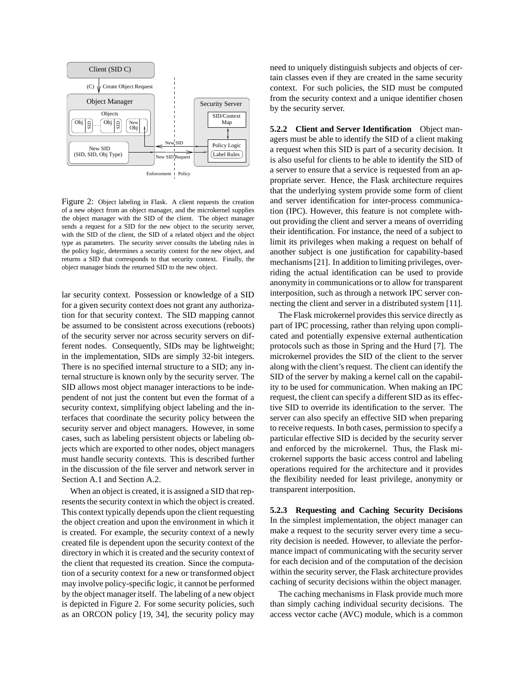

Figure 2: Object labeling in Flask. A client requests the creation of a new object from an object manager, and the microkernel supplies the object manager with the SID of the client. The object manager sends a request for a SID for the new object to the security server, with the SID of the client, the SID of a related object and the object type as parameters. The security server consults the labeling rules in the policy logic, determines a security context for the new object, and returns a SID that corresponds to that security context. Finally, the object manager binds the returned SID to the new object.

lar security context. Possession or knowledge of a SID for a given security context does not grant any authorization for that security context. The SID mapping cannot be assumed to be consistent across executions (reboots) of the security server nor across security servers on different nodes. Consequently, SIDs may be lightweight; in the implementation, SIDs are simply 32-bit integers. There is no specified internal structure to a SID; any internal structure is known only by the security server. The SID allows most object manager interactions to be independent of not just the content but even the format of a security context, simplifying object labeling and the interfaces that coordinate the security policy between the security server and object managers. However, in some cases, such as labeling persistent objects or labeling objects which are exported to other nodes, object managers must handle security contexts. This is described further in the discussion of the file server and network server in Section A.1 and Section A.2.

When an object is created, it is assigned a SID that represents the security context in which the object is created. This context typically depends upon the client requesting the object creation and upon the environment in which it is created. For example, the security context of a newly created file is dependent upon the security context of the directory in which it is created and the security context of the client that requested its creation. Since the computation of a security context for a new or transformed object may involve policy-specific logic, it cannot be performed by the object manager itself. The labeling of a new object is depicted in Figure 2. For some security policies, such as an ORCON policy [19, 34], the security policy may need to uniquely distinguish subjects and objects of certain classes even if they are created in the same security context. For such policies, the SID must be computed from the security context and a unique identifier chosen by the security server.

**5.2.2 Client and Server Identification** Object managers must be able to identify the SID of a client making a request when this SID is part of a security decision. It is also useful for clients to be able to identify the SID of a server to ensure that a service is requested from an appropriate server. Hence, the Flask architecture requires that the underlying system provide some form of client and server identification for inter-process communication (IPC). However, this feature is not complete without providing the client and server a means of overriding their identification. For instance, the need of a subject to limit its privileges when making a request on behalf of another subject is one justification for capability-based mechanisms[21]. In addition to limiting privileges, overriding the actual identification can be used to provide anonymity in communications or to allow for transparent interposition, such as through a network IPC server connecting the client and server in a distributed system [11].

The Flask microkernel provides this service directly as part of IPC processing, rather than relying upon complicated and potentially expensive external authentication protocols such as those in Spring and the Hurd [7]. The microkernel provides the SID of the client to the server along with the client's request. The client can identify the SID of the server by making a kernel call on the capability to be used for communication. When making an IPC request, the client can specify a different SID as its effective SID to override its identification to the server. The server can also specify an effective SID when preparing to receive requests. In both cases, permission to specify a particular effective SID is decided by the security server and enforced by the microkernel. Thus, the Flask microkernel supports the basic access control and labeling operations required for the architecture and it provides the flexibility needed for least privilege, anonymity or transparent interposition.

**5.2.3 Requesting and Caching Security Decisions** In the simplest implementation, the object manager can make a request to the security server every time a security decision is needed. However, to alleviate the performance impact of communicating with the security server for each decision and of the computation of the decision within the security server, the Flask architecture provides caching of security decisions within the object manager.

The caching mechanisms in Flask provide much more than simply caching individual security decisions. The access vector cache (AVC) module, which is a common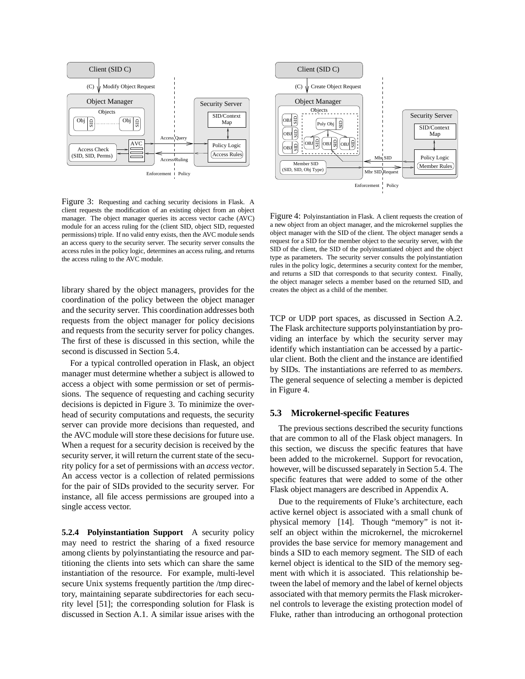

Figure 3: Requesting and caching security decisions in Flask. A client requests the modification of an existing object from an object manager. The object manager queries its access vector cache (AVC) module for an access ruling for the (client SID, object SID, requested permissions) triple. If no valid entry exists, then the AVC module sends an access query to the security server. The security server consults the access rules in the policy logic, determines an access ruling, and returns the access ruling to the AVC module.

library shared by the object managers, provides for the coordination of the policy between the object manager and the security server. This coordination addresses both requests from the object manager for policy decisions and requests from the security server for policy changes. The first of these is discussed in this section, while the second is discussed in Section 5.4.

For a typical controlled operation in Flask, an object manager must determine whether a subject is allowed to access a object with some permission or set of permissions. The sequence of requesting and caching security decisions is depicted in Figure 3. To minimize the overhead of security computations and requests, the security server can provide more decisions than requested, and the AVC module will store these decisions for future use. When a request for a security decision is received by the security server, it will return the current state of the security policy for a set of permissions with an *access vector*. An access vector is a collection of related permissions for the pair of SIDs provided to the security server. For instance, all file access permissions are grouped into a single access vector.

**5.2.4 Polyinstantiation Support** A security policy may need to restrict the sharing of a fixed resource among clients by polyinstantiating the resource and partitioning the clients into sets which can share the same instantiation of the resource. For example, multi-level secure Unix systems frequently partition the /tmp directory, maintaining separate subdirectories for each security level [51]; the corresponding solution for Flask is discussed in Section A.1. A similar issue arises with the



Figure 4: Polyinstantiation in Flask. A client requests the creation of a new object from an object manager, and the microkernel supplies the object manager with the SID of the client. The object manager sends a request for a SID for the member object to the security server, with the SID of the client, the SID of the polyinstantiated object and the object type as parameters. The security server consults the polyinstantiation rules in the policy logic, determines a security context for the member, and returns a SID that corresponds to that security context. Finally, the object manager selects a member based on the returned SID, and creates the object as a child of the member.

TCP or UDP port spaces, as discussed in Section A.2. The Flask architecture supports polyinstantiation by providing an interface by which the security server may identify which instantiation can be accessed by a particular client. Both the client and the instance are identified by SIDs. The instantiations are referred to as *members*. The general sequence of selecting a member is depicted in Figure 4.

### **5.3 Microkernel-specific Features**

The previous sections described the security functions that are common to all of the Flask object managers. In this section, we discuss the specific features that have been added to the microkernel. Support for revocation, however, will be discussed separately in Section 5.4. The specific features that were added to some of the other Flask object managers are described in Appendix A.

Due to the requirements of Fluke's architecture, each active kernel object is associated with a small chunk of physical memory [14]. Though "memory" is not itself an object within the microkernel, the microkernel provides the base service for memory management and binds a SID to each memory segment. The SID of each kernel object is identical to the SID of the memory segment with which it is associated. This relationship between the label of memory and the label of kernel objects associated with that memory permits the Flask microkernel controls to leverage the existing protection model of Fluke, rather than introducing an orthogonal protection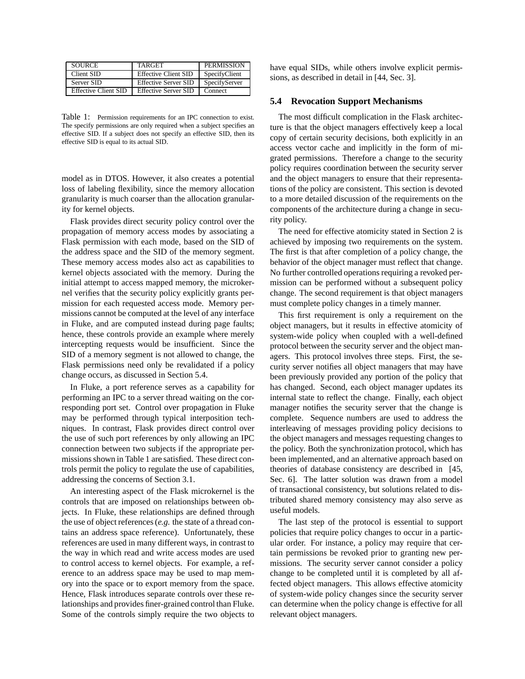| <b>SOURCE</b>               | <b>TARGET</b>               | <b>PERMISSION</b> |
|-----------------------------|-----------------------------|-------------------|
| Client SID                  | <b>Effective Client SID</b> | SpecifyClient     |
| Server SID                  | <b>Effective Server SID</b> | SpecifyServer     |
| <b>Effective Client SID</b> | <b>Effective Server SID</b> | Connect           |

Table 1: Permission requirements for an IPC connection to exist. The specify permissions are only required when a subject specifies an effective SID. If a subject does not specify an effective SID, then its effective SID is equal to its actual SID.

model as in DTOS. However, it also creates a potential loss of labeling flexibility, since the memory allocation granularity is much coarser than the allocation granularity for kernel objects.

Flask provides direct security policy control over the propagation of memory access modes by associating a Flask permission with each mode, based on the SID of the address space and the SID of the memory segment. These memory access modes also act as capabilities to kernel objects associated with the memory. During the initial attempt to access mapped memory, the microkernel verifies that the security policy explicitly grants permission for each requested access mode. Memory permissions cannot be computed at the level of any interface in Fluke, and are computed instead during page faults; hence, these controls provide an example where merely intercepting requests would be insufficient. Since the SID of a memory segment is not allowed to change, the Flask permissions need only be revalidated if a policy change occurs, as discussed in Section 5.4.

In Fluke, a port reference serves as a capability for performing an IPC to a server thread waiting on the corresponding port set. Control over propagation in Fluke may be performed through typical interposition techniques. In contrast, Flask provides direct control over the use of such port references by only allowing an IPC connection between two subjects if the appropriate permissions shown in Table 1 are satisfied. These direct controls permit the policy to regulate the use of capabilities, addressing the concerns of Section 3.1.

An interesting aspect of the Flask microkernel is the controls that are imposed on relationships between objects. In Fluke, these relationships are defined through the use of object references(*e.g.* the state of a thread contains an address space reference). Unfortunately, these references are used in many different ways, in contrast to the way in which read and write access modes are used to control access to kernel objects. For example, a reference to an address space may be used to map memory into the space or to export memory from the space. Hence, Flask introduces separate controls over these relationships and provides finer-grained control than Fluke. Some of the controls simply require the two objects to have equal SIDs, while others involve explicit permissions, as described in detail in [44, Sec. 3].

### **5.4 Revocation Support Mechanisms**

The most difficult complication in the Flask architecture is that the object managers effectively keep a local copy of certain security decisions, both explicitly in an access vector cache and implicitly in the form of migrated permissions. Therefore a change to the security policy requires coordination between the security server and the object managers to ensure that their representations of the policy are consistent. This section is devoted to a more detailed discussion of the requirements on the components of the architecture during a change in security policy.

The need for effective atomicity stated in Section 2 is achieved by imposing two requirements on the system. The first is that after completion of a policy change, the behavior of the object manager must reflect that change. No further controlled operations requiring a revoked permission can be performed without a subsequent policy change. The second requirement is that object managers must complete policy changes in a timely manner.

This first requirement is only a requirement on the object managers, but it results in effective atomicity of system-wide policy when coupled with a well-defined protocol between the security server and the object managers. This protocol involves three steps. First, the security server notifies all object managers that may have been previously provided any portion of the policy that has changed. Second, each object manager updates its internal state to reflect the change. Finally, each object manager notifies the security server that the change is complete. Sequence numbers are used to address the interleaving of messages providing policy decisions to the object managers and messages requesting changes to the policy. Both the synchronization protocol, which has been implemented, and an alternative approach based on theories of database consistency are described in [45, Sec. 6]. The latter solution was drawn from a model of transactional consistency, but solutions related to distributed shared memory consistency may also serve as useful models.

The last step of the protocol is essential to support policies that require policy changes to occur in a particular order. For instance, a policy may require that certain permissions be revoked prior to granting new permissions. The security server cannot consider a policy change to be completed until it is completed by all affected object managers. This allows effective atomicity of system-wide policy changes since the security server can determine when the policy change is effective for all relevant object managers.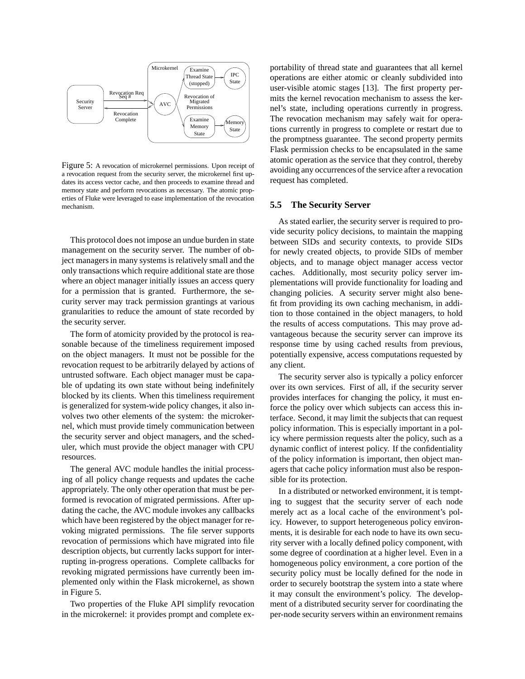

Figure 5: A revocation of microkernel permissions. Upon receipt of a revocation request from the security server, the microkernel first updates its access vector cache, and then proceeds to examine thread and memory state and perform revocations as necessary. The atomic properties of Fluke were leveraged to ease implementation of the revocation mechanism.

This protocol does not impose an undue burden in state management on the security server. The number of object managersin many systems is relatively small and the only transactions which require additional state are those where an object manager initially issues an access query for a permission that is granted. Furthermore, the security server may track permission grantings at various granularities to reduce the amount of state recorded by the security server.

The form of atomicity provided by the protocol is reasonable because of the timeliness requirement imposed on the object managers. It must not be possible for the revocation request to be arbitrarily delayed by actions of untrusted software. Each object manager must be capable of updating its own state without being indefinitely blocked by its clients. When this timeliness requirement is generalized for system-wide policy changes, it also involves two other elements of the system: the microkernel, which must provide timely communication between the security server and object managers, and the scheduler, which must provide the object manager with CPU resources.

The general AVC module handles the initial processing of all policy change requests and updates the cache appropriately. The only other operation that must be performed is revocation of migrated permissions. After updating the cache, the AVC module invokes any callbacks which have been registered by the object manager for revoking migrated permissions. The file server supports revocation of permissions which have migrated into file description objects, but currently lacks support for interrupting in-progress operations. Complete callbacks for revoking migrated permissions have currently been implemented only within the Flask microkernel, as shown in Figure 5.

Two properties of the Fluke API simplify revocation in the microkernel: it provides prompt and complete exportability of thread state and guarantees that all kernel operations are either atomic or cleanly subdivided into user-visible atomic stages [13]. The first property permits the kernel revocation mechanism to assess the kernel's state, including operations currently in progress. The revocation mechanism may safely wait for operations currently in progress to complete or restart due to the promptness guarantee. The second property permits Flask permission checks to be encapsulated in the same atomic operation as the service that they control, thereby avoiding any occurrences of the service after a revocation request has completed.

#### **5.5 The Security Server**

As stated earlier, the security server is required to provide security policy decisions, to maintain the mapping between SIDs and security contexts, to provide SIDs for newly created objects, to provide SIDs of member objects, and to manage object manager access vector caches. Additionally, most security policy server implementations will provide functionality for loading and changing policies. A security server might also benefit from providing its own caching mechanism, in addition to those contained in the object managers, to hold the results of access computations. This may prove advantageous because the security server can improve its response time by using cached results from previous, potentially expensive, access computations requested by any client.

The security server also is typically a policy enforcer over its own services. First of all, if the security server provides interfaces for changing the policy, it must enforce the policy over which subjects can access this interface. Second, it may limit the subjects that can request policy information. This is especially important in a policy where permission requests alter the policy, such as a dynamic conflict of interest policy. If the confidentiality of the policy information is important, then object managers that cache policy information must also be responsible for its protection.

In a distributed or networked environment, it is tempting to suggest that the security server of each node merely act as a local cache of the environment's policy. However, to support heterogeneous policy environments, it is desirable for each node to have its own security server with a locally defined policy component, with some degree of coordination at a higher level. Even in a homogeneous policy environment, a core portion of the security policy must be locally defined for the node in order to securely bootstrap the system into a state where it may consult the environment's policy. The development of a distributed security server for coordinating the per-node security servers within an environment remains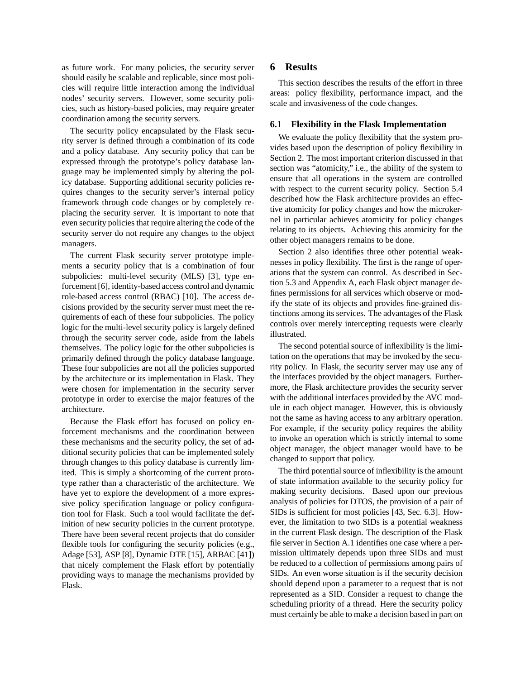as future work. For many policies, the security server should easily be scalable and replicable, since most policies will require little interaction among the individual nodes' security servers. However, some security policies, such as history-based policies, may require greater coordination among the security servers.

The security policy encapsulated by the Flask security server is defined through a combination of its code and a policy database. Any security policy that can be expressed through the prototype's policy database language may be implemented simply by altering the policy database. Supporting additional security policies requires changes to the security server's internal policy framework through code changes or by completely replacing the security server. It is important to note that even security policies that require altering the code of the security server do not require any changes to the object managers.

The current Flask security server prototype implements a security policy that is a combination of four subpolicies: multi-level security (MLS) [3], type enforcement [6], identity-based access control and dynamic role-based access control (RBAC) [10]. The access decisions provided by the security server must meet the requirements of each of these four subpolicies. The policy logic for the multi-level security policy is largely defined through the security server code, aside from the labels themselves. The policy logic for the other subpolicies is primarily defined through the policy database language. These four subpolicies are not all the policies supported by the architecture or its implementation in Flask. They were chosen for implementation in the security server prototype in order to exercise the major features of the architecture.

Because the Flask effort has focused on policy enforcement mechanisms and the coordination between these mechanisms and the security policy, the set of additional security policies that can be implemented solely through changes to this policy database is currently limited. This is simply a shortcoming of the current prototype rather than a characteristic of the architecture. We have yet to explore the development of a more expressive policy specification language or policy configuration tool for Flask. Such a tool would facilitate the definition of new security policies in the current prototype. There have been several recent projects that do consider flexible tools for configuring the security policies (e.g., Adage [53], ASP [8], Dynamic DTE [15], ARBAC [41]) that nicely complement the Flask effort by potentially providing ways to manage the mechanisms provided by Flask.

### **6 Results**

This section describes the results of the effort in three areas: policy flexibility, performance impact, and the scale and invasiveness of the code changes.

### **6.1 Flexibility in the Flask Implementation**

We evaluate the policy flexibility that the system provides based upon the description of policy flexibility in Section 2. The most important criterion discussed in that section was "atomicity," i.e., the ability of the system to ensure that all operations in the system are controlled with respect to the current security policy. Section 5.4 described how the Flask architecture provides an effective atomicity for policy changes and how the microkernel in particular achieves atomicity for policy changes relating to its objects. Achieving this atomicity for the other object managers remains to be done.

Section 2 also identifies three other potential weaknesses in policy flexibility. The first is the range of operations that the system can control. As described in Section 5.3 and Appendix A, each Flask object manager defines permissions for all services which observe or modify the state of its objects and provides fine-grained distinctions among its services. The advantages of the Flask controls over merely intercepting requests were clearly illustrated.

The second potential source of inflexibility is the limitation on the operations that may be invoked by the security policy. In Flask, the security server may use any of the interfaces provided by the object managers. Furthermore, the Flask architecture provides the security server with the additional interfaces provided by the AVC module in each object manager. However, this is obviously not the same as having access to any arbitrary operation. For example, if the security policy requires the ability to invoke an operation which is strictly internal to some object manager, the object manager would have to be changed to support that policy.

The third potential source of inflexibility is the amount of state information available to the security policy for making security decisions. Based upon our previous analysis of policies for DTOS, the provision of a pair of SIDs is sufficient for most policies [43, Sec. 6.3]. However, the limitation to two SIDs is a potential weakness in the current Flask design. The description of the Flask file server in Section A.1 identifies one case where a permission ultimately depends upon three SIDs and must be reduced to a collection of permissions among pairs of SIDs. An even worse situation is if the security decision should depend upon a parameter to a request that is not represented as a SID. Consider a request to change the scheduling priority of a thread. Here the security policy must certainly be able to make a decision based in part on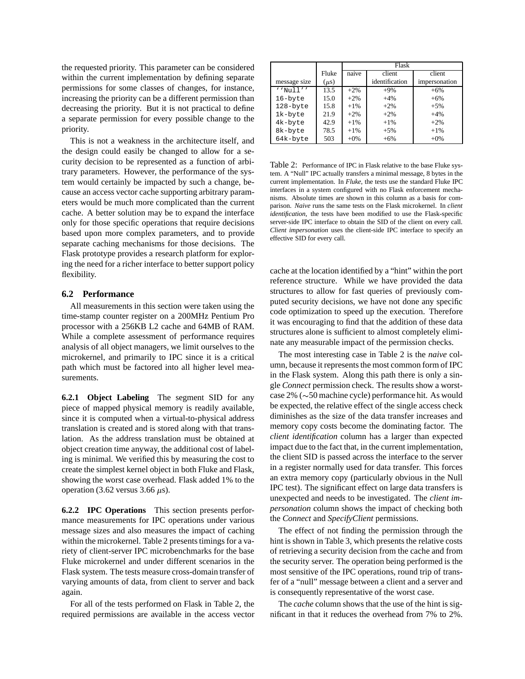the requested priority. This parameter can be considered within the current implementation by defining separate permissions for some classes of changes, for instance, increasing the priority can be a different permission than decreasing the priority. But it is not practical to define a separate permission for every possible change to the priority.

This is not a weakness in the architecture itself, and the design could easily be changed to allow for a security decision to be represented as a function of arbitrary parameters. However, the performance of the system would certainly be impacted by such a change, because an access vector cache supporting arbitrary parameters would be much more complicated than the current cache. A better solution may be to expand the interface only for those specific operations that require decisions based upon more complex parameters, and to provide separate caching mechanisms for those decisions. The Flask prototype provides a research platform for exploring the need for a richer interface to better support policy flexibility.

### **6.2 Performance**

All measurements in this section were taken using the time-stamp counter register on a 200MHz Pentium Pro processor with a 256KB L2 cache and 64MB of RAM. While a complete assessment of performance requires analysis of all object managers, we limit ourselves to the microkernel, and primarily to IPC since it is a critical path which must be factored into all higher level measurements.

**6.2.1 Object Labeling** The segment SID for any piece of mapped physical memory is readily available, since it is computed when a virtual-to-physical address translation is created and is stored along with that translation. As the address translation must be obtained at object creation time anyway, the additional cost of labeling is minimal. We verified this by measuring the cost to create the simplest kernel object in both Fluke and Flask, showing the worst case overhead. Flask added 1% to the operation (3.62 versus 3.66  $\mu$ s).

**6.2.2 IPC Operations** This section presents performance measurements for IPC operations under various message sizes and also measures the impact of caching within the microkernel. Table 2 presents timings for a variety of client-server IPC microbenchmarks for the base Fluke microkernel and under different scenarios in the Flask system. The tests measure cross-domain transfer of varying amounts of data, from client to server and back again.

For all of the tests performed on Flask in Table 2, the required permissions are available in the access vector

|              |           | Flask  |                |               |
|--------------|-----------|--------|----------------|---------------|
|              | Fluke     | naive  | client         | client        |
| message size | $(\mu s)$ |        | identification | impersonation |
| $'$ 'Null''  | 13.5      | $+2\%$ | $+9\%$         | $+6%$         |
| 16-byte      | 15.0      | $+2%$  | $+4%$          | $+6%$         |
| 128-byte     | 15.8      | $+1\%$ | $+2%$          | $+5%$         |
| 1k-byte      | 21.9      | $+2%$  | $+2%$          | $+4%$         |
| 4k-byte      | 42.9      | $+1\%$ | $+1\%$         | $+2%$         |
| 8k-byte      | 78.5      | $+1\%$ | $+5%$          | $+1\%$        |
| 64k-byte     | 503       | $+0\%$ | $+6%$          | $+0\%$        |

Table 2: Performance of IPC in Flask relative to the base Fluke system. A "Null" IPC actually transfers a minimal message, 8 bytes in the current implementation. In *Fluke*, the tests use the standard Fluke IPC interfaces in a system configured with no Flask enforcement mechanisms. Absolute times are shown in this column as a basis for comparison. *Naive* runs the same tests on the Flask microkernel. In *client identification*, the tests have been modified to use the Flask-specific server-side IPC interface to obtain the SID of the client on every call. *Client impersonation* uses the client-side IPC interface to specify an effective SID for every call.

cache at the location identified by a "hint" within the port reference structure. While we have provided the data structures to allow for fast queries of previously computed security decisions, we have not done any specific code optimization to speed up the execution. Therefore it was encouraging to find that the addition of these data structures alone is sufficient to almost completely eliminate any measurable impact of the permission checks.

The most interesting case in Table 2 is the *naive* column, because it represents the most common form of IPC in the Flask system. Along this path there is only a single *Connect* permission check. The results show a worst $case 2\% (\sim 50$  machine cycle) performance hit. As would be expected, the relative effect of the single access check diminishes as the size of the data transfer increases and memory copy costs become the dominating factor. The *client identification* column has a larger than expected impact due to the fact that, in the current implementation, the client SID is passed across the interface to the server in a register normally used for data transfer. This forces an extra memory copy (particularly obvious in the Null IPC test). The significant effect on large data transfers is unexpected and needs to be investigated. The *client impersonation* column shows the impact of checking both the *Connect* and *SpecifyClient* permissions.

The effect of not finding the permission through the hint is shown in Table 3, which presents the relative costs of retrieving a security decision from the cache and from the security server. The operation being performed is the most sensitive of the IPC operations, round trip of transfer of a "null" message between a client and a server and is consequently representative of the worst case.

The *cache* column shows that the use of the hint is significant in that it reduces the overhead from 7% to 2%.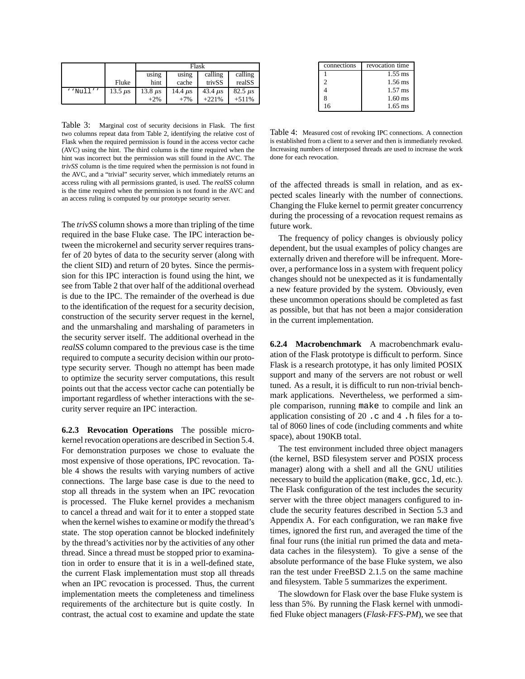|             |              | Flask        |              |              |                |
|-------------|--------------|--------------|--------------|--------------|----------------|
|             |              | using        | using        | calling      | calling        |
|             | Fluke        | hint         | cache        | trivSS       | realSS         |
| $'$ 'Null'' | 13.5 $\mu$ s | 13.8 $\mu$ s | 14.4 $\mu$ s | 43.4 $\mu$ s | $82.5 \ \mu s$ |
|             |              | $+2\%$       | $+7%$        | $+221%$      | $+511%$        |

Table 3: Marginal cost of security decisions in Flask. The first two columns repeat data from Table 2, identifying the relative cost of Flask when the required permission is found in the access vector cache (AVC) using the hint. The third column is the time required when the hint was incorrect but the permission was still found in the AVC. The *trivSS* column is the time required when the permission is not found in the AVC, and a "trivial" security server, which immediately returns an access ruling with all permissions granted, is used. The *realSS* column is the time required when the permission is not found in the AVC and an access ruling is computed by our prototype security server.

The *trivSS* column shows a more than tripling of the time required in the base Fluke case. The IPC interaction between the microkernel and security server requires transfer of 20 bytes of data to the security server (along with the client SID) and return of 20 bytes. Since the permission for this IPC interaction is found using the hint, we see from Table 2 that over half of the additional overhead is due to the IPC. The remainder of the overhead is due to the identification of the request for a security decision, construction of the security server request in the kernel, and the unmarshaling and marshaling of parameters in the security server itself. The additional overhead in the *realSS* column compared to the previous case is the time required to compute a security decision within our prototype security server. Though no attempt has been made to optimize the security server computations, this result points out that the access vector cache can potentially be important regardless of whether interactions with the security server require an IPC interaction.

**6.2.3 Revocation Operations** The possible microkernel revocation operations are described in Section 5.4. For demonstration purposes we chose to evaluate the most expensive of those operations, IPC revocation. Table 4 shows the results with varying numbers of active connections. The large base case is due to the need to stop all threads in the system when an IPC revocation is processed. The Fluke kernel provides a mechanism to cancel a thread and wait for it to enter a stopped state when the kernel wishes to examine or modify the thread's state. The stop operation cannot be blocked indefinitely by the thread's activities nor by the activities of any other thread. Since a thread must be stopped prior to examination in order to ensure that it is in a well-defined state, the current Flask implementation must stop all threads when an IPC revocation is processed. Thus, the current implementation meets the completeness and timeliness requirements of the architecture but is quite costly. In contrast, the actual cost to examine and update the state

| connections | revocation time |
|-------------|-----------------|
|             | $1.55$ ms       |
| 2           | $1.56$ ms       |
|             | $1.57$ ms       |
| 8           | $1.60$ ms       |
| 16          | $1.65$ ms       |

Table 4: Measured cost of revoking IPC connections. A connection is established from a client to a server and then is immediately revoked. Increasing numbers of interposed threads are used to increase the work done for each revocation.

of the affected threads is small in relation, and as expected scales linearly with the number of connections. Changing the Fluke kernel to permit greater concurrency during the processing of a revocation request remains as future work.

The frequency of policy changes is obviously policy dependent, but the usual examples of policy changes are externally driven and therefore will be infrequent. Moreover, a performance loss in a system with frequent policy changes should not be unexpected as it is fundamentally a new feature provided by the system. Obviously, even these uncommon operations should be completed as fast as possible, but that has not been a major consideration in the current implementation.

**6.2.4 Macrobenchmark** A macrobenchmark evaluation of the Flask prototype is difficult to perform. Since Flask is a research prototype, it has only limited POSIX support and many of the servers are not robust or well tuned. As a result, it is difficult to run non-trivial benchmark applications. Nevertheless, we performed a simple comparison, running make to compile and link an application consisting of 20 .c and 4 .h files for a total of 8060 lines of code (including comments and white space), about 190KB total.

The test environment included three object managers (the kernel, BSD filesystem server and POSIX process manager) along with a shell and all the GNU utilities necessary to build the application (make, gcc, ld, etc.). The Flask configuration of the test includes the security server with the three object managers configured to include the security features described in Section 5.3 and Appendix A. For each configuration, we ran make five times, ignored the first run, and averaged the time of the final four runs (the initial run primed the data and metadata caches in the filesystem). To give a sense of the absolute performance of the base Fluke system, we also ran the test under FreeBSD 2.1.5 on the same machine and filesystem. Table 5 summarizes the experiment.

The slowdown for Flask over the base Fluke system is less than 5%. By running the Flask kernel with unmodified Fluke object managers (*Flask-FFS-PM*), we see that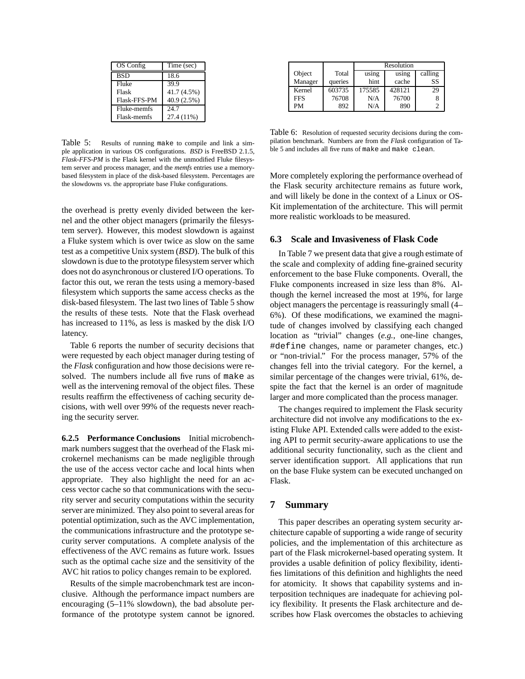| OS Config    | Time (sec)  |
|--------------|-------------|
| <b>BSD</b>   | 18.6        |
| Fluke        | 39.9        |
| Flask        | 41.7 (4.5%) |
| Flask-FFS-PM | 40.9 (2.5%) |
| Fluke-memfs  | 24.7        |
| Flask-memfs  | 27.4 (11%)  |

Table 5: Results of running make to compile and link a simple application in various OS configurations. *BSD* is FreeBSD 2.1.5, *Flask-FFS-PM* is the Flask kernel with the unmodified Fluke filesystem server and process manager, and the *memfs* entries use a memorybased filesystem in place of the disk-based filesystem. Percentages are the slowdowns vs. the appropriate base Fluke configurations.

the overhead is pretty evenly divided between the kernel and the other object managers (primarily the filesystem server). However, this modest slowdown is against a Fluke system which is over twice as slow on the same test as a competitive Unix system (*BSD*). The bulk of this slowdown is due to the prototype filesystem server which does not do asynchronous or clustered I/O operations. To factor this out, we reran the tests using a memory-based filesystem which supports the same access checks as the disk-based filesystem. The last two lines of Table 5 show the results of these tests. Note that the Flask overhead has increased to 11%, as less is masked by the disk I/O latency.

Table 6 reports the number of security decisions that were requested by each object manager during testing of the *Flask* configuration and how those decisions were resolved. The numbers include all five runs of make as well as the intervening removal of the object files. These results reaffirm the effectiveness of caching security decisions, with well over 99% of the requests never reaching the security server.

**6.2.5 Performance Conclusions** Initial microbenchmark numbers suggest that the overhead of the Flask microkernel mechanisms can be made negligible through the use of the access vector cache and local hints when appropriate. They also highlight the need for an access vector cache so that communications with the security server and security computations within the security server are minimized. They also point to several areas for potential optimization, such as the AVC implementation, the communications infrastructure and the prototype security server computations. A complete analysis of the effectiveness of the AVC remains as future work. Issues such as the optimal cache size and the sensitivity of the AVC hit ratios to policy changes remain to be explored.

Results of the simple macrobenchmark test are inconclusive. Although the performance impact numbers are encouraging (5–11% slowdown), the bad absolute performance of the prototype system cannot be ignored.

|            |         | Resolution |        |         |  |
|------------|---------|------------|--------|---------|--|
| Object     | Total   | using      | using  | calling |  |
| Manager    | queries | hint       | cache  | SS      |  |
| Kernel     | 603735  | 175585     | 428121 | 29      |  |
| <b>FFS</b> | 76708   | N/A        | 76700  |         |  |
| PM         | 892     | N/A        | 890    |         |  |

Table 6: Resolution of requested security decisions during the compilation benchmark. Numbers are from the *Flask* configuration of Table 5 and includes all five runs of make and make clean.

More completely exploring the performance overhead of the Flask security architecture remains as future work, and will likely be done in the context of a Linux or OS-Kit implementation of the architecture. This will permit more realistic workloads to be measured.

#### **6.3 Scale and Invasiveness of Flask Code**

In Table 7 we present data that give a rough estimate of the scale and complexity of adding fine-grained security enforcement to the base Fluke components. Overall, the Fluke components increased in size less than 8%. Although the kernel increased the most at 19%, for large object managers the percentage is reassuringly small (4– 6%). Of these modifications, we examined the magnitude of changes involved by classifying each changed location as "trivial" changes (*e.g.*, one-line changes, #define changes, name or parameter changes, etc.) or "non-trivial." For the process manager, 57% of the changes fell into the trivial category. For the kernel, a similar percentage of the changes were trivial, 61%, despite the fact that the kernel is an order of magnitude larger and more complicated than the process manager.

The changes required to implement the Flask security architecture did not involve any modifications to the existing Fluke API. Extended calls were added to the existing API to permit security-aware applications to use the additional security functionality, such as the client and server identification support. All applications that run on the base Fluke system can be executed unchanged on Flask.

# **7 Summary**

This paper describes an operating system security architecture capable of supporting a wide range of security policies, and the implementation of this architecture as part of the Flask microkernel-based operating system. It provides a usable definition of policy flexibility, identifies limitations of this definition and highlights the need for atomicity. It shows that capability systems and interposition techniques are inadequate for achieving policy flexibility. It presents the Flask architecture and describes how Flask overcomes the obstacles to achieving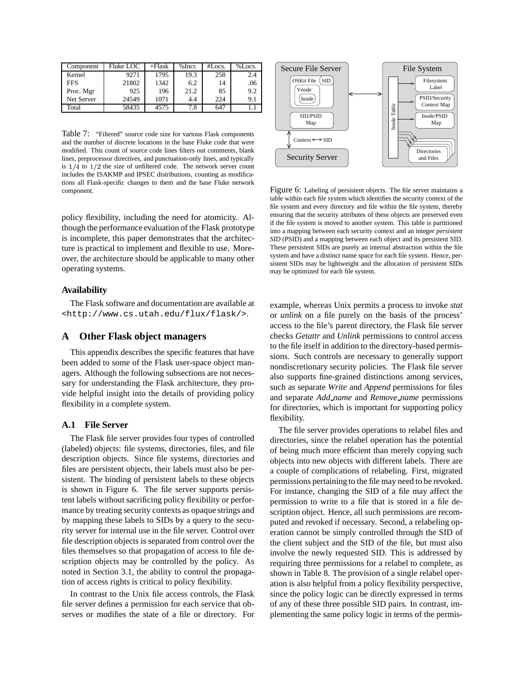| Component  | Fluke LOC | $+F$ lask | $%$ Incr. | #Locs. | %Locs. |
|------------|-----------|-----------|-----------|--------|--------|
| Kernel     | 9271      | 1795      | 19.3      | 258    | 2.4    |
| <b>FFS</b> | 21802     | 1342      | 6.2       | 14     | .06    |
| Proc. Mgr  | 925       | 196       | 21.2      | 85     | 9.2    |
| Net Server | 24549     | 1071      | 4.4       | 224    | 9.1    |
| Total      | 58435     | 4575      | 7.8       | 647    |        |

Table 7: "Filtered" source code size for various Flask components and the number of discrete locations in the base Fluke code that were modified. This count of source code lines filters out comments, blank lines, preprocessor directives, and punctuation-only lines, and typically is  $1/4$  to  $1/2$  the size of unfiltered code. The network server count includes the ISAKMP and IPSEC distributions, counting as modifications all Flask-specific changes to them and the base Fluke network component.

policy flexibility, including the need for atomicity. Although the performance evaluation of the Flask prototype is incomplete, this paper demonstrates that the architecture is practical to implement and flexible to use. Moreover, the architecture should be applicable to many other operating systems.

### **Availability**

The Flask software and documentation are available at <http://www.cs.utah.edu/flux/flask/>.

# **A Other Flask object managers**

This appendix describes the specific features that have been added to some of the Flask user-space object managers. Although the following subsections are not necessary for understanding the Flask architecture, they provide helpful insight into the details of providing policy flexibility in a complete system.

## **A.1 File Server**

The Flask file server provides four types of controlled (labeled) objects: file systems, directories, files, and file description objects. Since file systems, directories and files are persistent objects, their labels must also be persistent. The binding of persistent labels to these objects is shown in Figure 6. The file server supports persistent labels without sacrificing policy flexibility or performance by treating security contexts as opaque strings and by mapping these labels to SIDs by a query to the security server for internal use in the file server. Control over file description objects is separated from control over the files themselves so that propagation of access to file description objects may be controlled by the policy. As noted in Section 3.1, the ability to control the propagation of access rights is critical to policy flexibility.

In contrast to the Unix file access controls, the Flask file server defines a permission for each service that observes or modifies the state of a file or directory. For



Figure 6: Labeling of persistent objects. The file server maintains a table within each file system which identifies the security context of the file system and every directory and file within the file system, thereby ensuring that the security attributes of these objects are preserved even if the file system is moved to another system. This table is partitioned into a mapping between each security context and an integer *persistent SID* (PSID) and a mapping between each object and its persistent SID. These persistent SIDs are purely an internal abstraction within the file system and have a distinct name space for each file system. Hence, persistent SIDs may be lightweight and the allocation of persistent SIDs may be optimized for each file system.

example, whereas Unix permits a process to invoke *stat* or *unlink* on a file purely on the basis of the process' access to the file's parent directory, the Flask file server checks *Getattr* and *Unlink* permissions to control access to the file itself in addition to the directory-based permissions. Such controls are necessary to generally support nondiscretionary security policies. The Flask file server also supports fine-grained distinctions among services, such as separate *Write* and *Append* permissions for files and separate *Add name* and *Remove name* permissions for directories, which is important for supporting policy flexibility.

The file server provides operations to relabel files and directories, since the relabel operation has the potential of being much more efficient than merely copying such objects into new objects with different labels. There are a couple of complications of relabeling. First, migrated permissions pertaining to the file may need to be revoked. For instance, changing the SID of a file may affect the permission to write to a file that is stored in a file description object. Hence, all such permissions are recomputed and revoked if necessary. Second, a relabeling operation cannot be simply controlled through the SID of the client subject and the SID of the file, but must also involve the newly requested SID. This is addressed by requiring three permissions for a relabel to complete, as shown in Table 8. The provision of a single relabel operation is also helpful from a policy flexibility perspective, since the policy logic can be directly expressed in terms of any of these three possible SID pairs. In contrast, implementing the same policy logic in terms of the permis-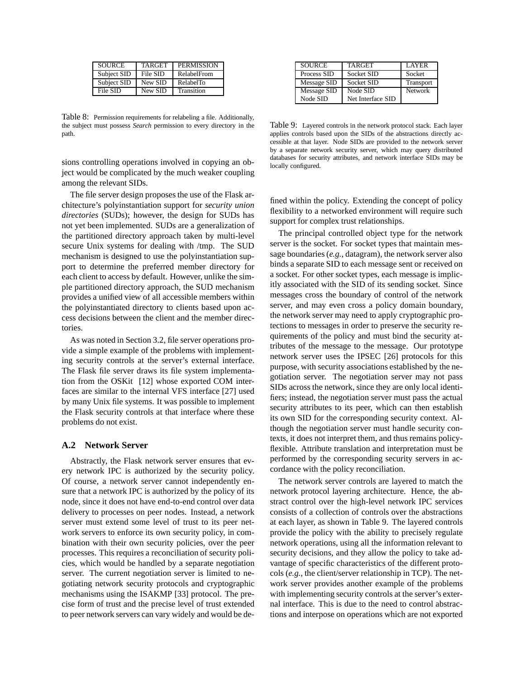| <b>SOURCE</b> | <b>TARGET</b> | <b>PERMISSION</b> |
|---------------|---------------|-------------------|
| Subject SID   | File SID      | RelabelFrom       |
| Subject SID   | New SID       | RelabelTo         |
| File SID      | New SID       | Transition        |

Table 8: Permission requirements for relabeling a file. Additionally, the subject must possess *Search* permission to every directory in the path.

sions controlling operations involved in copying an object would be complicated by the much weaker coupling among the relevant SIDs.

The file server design proposes the use of the Flask architecture's polyinstantiation support for *security union directories* (SUDs); however, the design for SUDs has not yet been implemented. SUDs are a generalization of the partitioned directory approach taken by multi-level secure Unix systems for dealing with /tmp. The SUD mechanism is designed to use the polyinstantiation support to determine the preferred member directory for each client to access by default. However, unlike the simple partitioned directory approach, the SUD mechanism provides a unified view of all accessible members within the polyinstantiated directory to clients based upon access decisions between the client and the member directories.

As was noted in Section 3.2, file server operations provide a simple example of the problems with implementing security controls at the server's external interface. The Flask file server draws its file system implementation from the OSKit [12] whose exported COM interfaces are similar to the internal VFS interface [27] used by many Unix file systems. It was possible to implement the Flask security controls at that interface where these problems do not exist.

### **A.2 Network Server**

Abstractly, the Flask network server ensures that every network IPC is authorized by the security policy. Of course, a network server cannot independently ensure that a network IPC is authorized by the policy of its node, since it does not have end-to-end control over data delivery to processes on peer nodes. Instead, a network server must extend some level of trust to its peer network servers to enforce its own security policy, in combination with their own security policies, over the peer processes. This requires a reconciliation of security policies, which would be handled by a separate negotiation server. The current negotiation server is limited to negotiating network security protocols and cryptographic mechanisms using the ISAKMP [33] protocol. The precise form of trust and the precise level of trust extended to peer network servers can vary widely and would be de-

| <b>SOURCE</b> | <b>TARGET</b>     | <b>LAYER</b>   |
|---------------|-------------------|----------------|
| Process SID   | Socket SID        | Socket         |
| Message SID   | Socket SID        | Transport      |
| Message SID   | Node SID          | <b>Network</b> |
| Node SID      | Net Interface SID |                |

Table 9: Layered controls in the network protocol stack. Each layer applies controls based upon the SIDs of the abstractions directly accessible at that layer. Node SIDs are provided to the network server by a separate network security server, which may query distributed databases for security attributes, and network interface SIDs may be locally configured.

fined within the policy. Extending the concept of policy flexibility to a networked environment will require such support for complex trust relationships.

The principal controlled object type for the network server is the socket. For socket types that maintain message boundaries (*e.g.*, datagram), the network server also binds a separate SID to each message sent or received on a socket. For other socket types, each message is implicitly associated with the SID of its sending socket. Since messages cross the boundary of control of the network server, and may even cross a policy domain boundary, the network server may need to apply cryptographic protections to messages in order to preserve the security requirements of the policy and must bind the security attributes of the message to the message. Our prototype network server uses the IPSEC [26] protocols for this purpose, with security associations established by the negotiation server. The negotiation server may not pass SIDs across the network, since they are only local identifiers; instead, the negotiation server must pass the actual security attributes to its peer, which can then establish its own SID for the corresponding security context. Although the negotiation server must handle security contexts, it does not interpret them, and thus remains policyflexible. Attribute translation and interpretation must be performed by the corresponding security servers in accordance with the policy reconciliation.

The network server controls are layered to match the network protocol layering architecture. Hence, the abstract control over the high-level network IPC services consists of a collection of controls over the abstractions at each layer, as shown in Table 9. The layered controls provide the policy with the ability to precisely regulate network operations, using all the information relevant to security decisions, and they allow the policy to take advantage of specific characteristics of the different protocols (*e.g.*, the client/server relationship in TCP). The network server provides another example of the problems with implementing security controls at the server's external interface. This is due to the need to control abstractions and interpose on operations which are not exported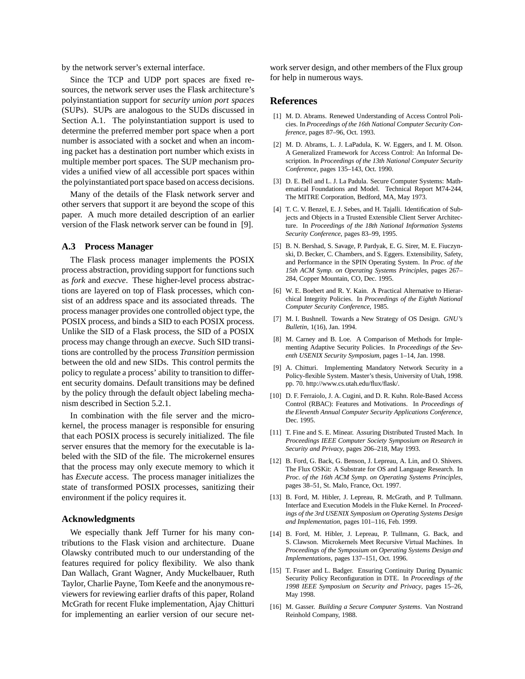by the network server's external interface.

Since the TCP and UDP port spaces are fixed resources, the network server uses the Flask architecture's polyinstantiation support for *security union port spaces* (SUPs). SUPs are analogous to the SUDs discussed in Section A.1. The polyinstantiation support is used to determine the preferred member port space when a port number is associated with a socket and when an incoming packet has a destination port number which exists in multiple member port spaces. The SUP mechanism provides a unified view of all accessible port spaces within the polyinstantiated port space based on access decisions.

Many of the details of the Flask network server and other servers that support it are beyond the scope of this paper. A much more detailed description of an earlier version of the Flask network server can be found in [9].

#### **A.3 Process Manager**

The Flask process manager implements the POSIX process abstraction, providing support for functions such as *fork* and *execve*. These higher-level process abstractions are layered on top of Flask processes, which consist of an address space and its associated threads. The process manager provides one controlled object type, the POSIX process, and binds a SID to each POSIX process. Unlike the SID of a Flask process, the SID of a POSIX process may change through an *execve*. Such SID transitions are controlled by the process *Transition* permission between the old and new SIDs. This control permits the policy to regulate a process' ability to transition to different security domains. Default transitions may be defined by the policy through the default object labeling mechanism described in Section 5.2.1.

In combination with the file server and the microkernel, the process manager is responsible for ensuring that each POSIX process is securely initialized. The file server ensures that the memory for the executable is labeled with the SID of the file. The microkernel ensures that the process may only execute memory to which it has *Execute* access. The process manager initializes the state of transformed POSIX processes, sanitizing their environment if the policy requires it.

### **Acknowledgments**

We especially thank Jeff Turner for his many contributions to the Flask vision and architecture. Duane Olawsky contributed much to our understanding of the features required for policy flexibility. We also thank Dan Wallach, Grant Wagner, Andy Muckelbauer, Ruth Taylor, Charlie Payne, Tom Keefe and the anonymous reviewers for reviewing earlier drafts of this paper, Roland McGrath for recent Fluke implementation, Ajay Chitturi for implementing an earlier version of our secure network server design, and other members of the Flux group for help in numerous ways.

## **References**

- [1] M. D. Abrams. Renewed Understanding of Access Control Policies. In *Proceedings of the 16th National Computer Security Conference*, pages 87–96, Oct. 1993.
- [2] M. D. Abrams, L. J. LaPadula, K. W. Eggers, and I. M. Olson. A Generalized Framework for Access Control: An Informal Description. In *Proceedings of the 13th National Computer Security Conference*, pages 135–143, Oct. 1990.
- [3] D. E. Bell and L. J. La Padula. Secure Computer Systems: Mathematical Foundations and Model. Technical Report M74-244, The MITRE Corporation, Bedford, MA, May 1973.
- [4] T. C. V. Benzel, E. J. Sebes, and H. Tajalli. Identification of Subjects and Objects in a Trusted Extensible Client Server Architecture. In *Proceedings of the 18th National Information Systems Security Conference*, pages 83–99, 1995.
- [5] B. N. Bershad, S. Savage, P. Pardyak, E. G. Sirer, M. E. Fiuczynski, D. Becker, C. Chambers, and S. Eggers. Extensibility, Safety, and Performance in the SPIN Operating System. In *Proc. of the 15th ACM Symp. on Operating Systems Principles*, pages 267– 284, Copper Mountain, CO, Dec. 1995.
- [6] W. E. Boebert and R. Y. Kain. A Practical Alternative to Hierarchical Integrity Policies. In *Proceedings of the Eighth National Computer Security Conference*, 1985.
- [7] M. I. Bushnell. Towards a New Strategy of OS Design. *GNU's Bulletin*, 1(16), Jan. 1994.
- [8] M. Carney and B. Loe. A Comparison of Methods for Implementing Adaptive Security Policies. In *Proceedings of the Seventh USENIX Security Symposium*, pages 1–14, Jan. 1998.
- [9] A. Chitturi. Implementing Mandatory Network Security in a Policy-flexible System. Master's thesis, University of Utah, 1998. pp. 70. http://www.cs.utah.edu/flux/flask/.
- [10] D. F. Ferraiolo, J. A. Cugini, and D. R. Kuhn. Role-Based Access Control (RBAC): Features and Motivations. In *Proceedings of the Eleventh Annual Computer Security Applications Conference*, Dec. 1995.
- [11] T. Fine and S. E. Minear. Assuring Distributed Trusted Mach. In *Proceedings IEEE Computer Society Symposium on Research in Security and Privacy*, pages 206–218, May 1993.
- [12] B. Ford, G. Back, G. Benson, J. Lepreau, A. Lin, and O. Shivers. The Flux OSKit: A Substrate for OS and Language Research. In *Proc. of the 16th ACM Symp. on Operating Systems Principles*, pages 38–51, St. Malo, France, Oct. 1997.
- [13] B. Ford, M. Hibler, J. Lepreau, R. McGrath, and P. Tullmann. Interface and Execution Models in the Fluke Kernel. In *Proceedings of the 3rd USENIX Symposium on Operating Systems Design and Implementation*, pages 101–116, Feb. 1999.
- [14] B. Ford, M. Hibler, J. Lepreau, P. Tullmann, G. Back, and S. Clawson. Microkernels Meet Recursive Virtual Machines. In *Proceedings of the Symposium on Operating Systems Design and Implementations*, pages 137–151, Oct. 1996.
- [15] T. Fraser and L. Badger. Ensuring Continuity During Dynamic Security Policy Reconfiguration in DTE. In *Proceedings of the 1998 IEEE Symposium on Security and Privacy*, pages 15–26, May 1998.
- [16] M. Gasser. *Building a Secure Computer Systems*. Van Nostrand Reinhold Company, 1988.